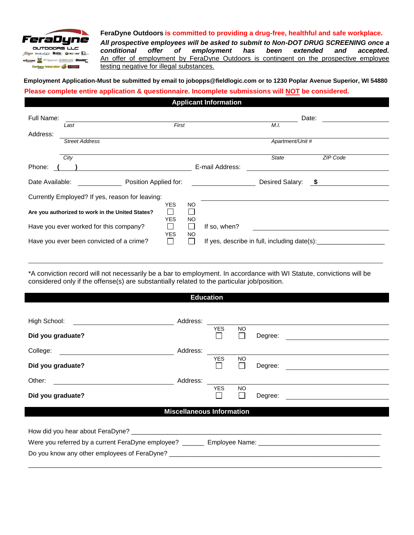

#### **FeraDyne Outdoors is committed to providing a drug-free, healthful and safe workplace.**

*All prospective employees will be asked to submit to Non-DOT DRUG SCREENING once a conditional offer of employment has been extended and accepted.* An offer of employment by FeraDyne Outdoors is contingent on the prospective employee testing negative for illegal substances.

## **Employment Application-Must be submitted by email to jobopps@fieldlogic.com or to 1230 Poplar Avenue Superior, WI 54880**

### **Please complete entire application & questionnaire. Incomplete submissions will NOT be considered.**

| Full Name:      | First<br>Last                                    |                          |                  |                  | Date:<br>M.I.                                |           |  |  |
|-----------------|--------------------------------------------------|--------------------------|------------------|------------------|----------------------------------------------|-----------|--|--|
| Address:        | <b>Street Address</b>                            |                          |                  | Apartment/Unit # |                                              |           |  |  |
|                 | City                                             |                          |                  |                  | <b>State</b>                                 | ZIP Code  |  |  |
| Phone:          |                                                  |                          |                  | E-mail Address:  |                                              |           |  |  |
| Date Available: | Position Applied for:                            |                          |                  |                  | Desired Salary:                              | $\sim$ \$ |  |  |
|                 | Currently Employed? If yes, reason for leaving:  |                          |                  |                  |                                              |           |  |  |
|                 | Are you authorized to work in the United States? | <b>YES</b><br><b>YES</b> | <b>NO</b><br>NO. |                  |                                              |           |  |  |
|                 | Have you ever worked for this company?           |                          |                  | If so, when?     |                                              |           |  |  |
|                 | Have you ever been convicted of a crime?         | <b>YES</b>               | NO.              |                  | If yes, describe in full, including date(s): |           |  |  |

\*A conviction record will not necessarily be a bar to employment. In accordance with WI Statute, convictions will be considered only if the offense(s) are substantially related to the particular job/position.

\_\_\_\_\_\_\_\_\_\_\_\_\_\_\_\_\_\_\_\_\_\_\_\_\_\_\_\_\_\_\_\_\_\_\_\_\_\_\_\_\_\_\_\_\_\_\_\_\_\_\_\_\_\_\_\_\_\_\_\_\_\_\_\_\_\_\_\_\_\_\_\_\_\_\_\_\_\_\_\_\_\_\_\_\_\_\_\_\_\_\_\_\_\_\_\_\_\_\_\_\_\_\_\_\_\_\_\_\_\_\_\_\_\_\_\_\_\_

**Education**

| High School:<br><u> 1989 - Johann Stein, mars an de Francisco (f. 19</u>                                       | Address: |            |                     |         |  |  |  |
|----------------------------------------------------------------------------------------------------------------|----------|------------|---------------------|---------|--|--|--|
| Did you graduate?                                                                                              |          | <b>YES</b> | <b>NO</b><br>$\Box$ | Degree: |  |  |  |
| College:<br><u> 1980 - Jan James Barnett, fransk politik (d. 1980)</u>                                         | Address: |            |                     |         |  |  |  |
| Did you graduate?                                                                                              |          | <b>YES</b> | <b>NO</b><br>$\Box$ | Degree: |  |  |  |
| Other:                                                                                                         | Address: |            |                     |         |  |  |  |
| Did you graduate?                                                                                              |          | <b>YES</b> | <b>NO</b><br>$\Box$ | Degree: |  |  |  |
| <b>Miscellaneous Information</b>                                                                               |          |            |                     |         |  |  |  |
|                                                                                                                |          |            |                     |         |  |  |  |
|                                                                                                                |          |            |                     |         |  |  |  |
| Were you referred by a current FeraDyne employee? _________ Employee Name: ___________________________________ |          |            |                     |         |  |  |  |
| Do you know any other employees of FeraDyne?                                                                   |          |            |                     |         |  |  |  |

\_\_\_\_\_\_\_\_\_\_\_\_\_\_\_\_\_\_\_\_\_\_\_\_\_\_\_\_\_\_\_\_\_\_\_\_\_\_\_\_\_\_\_\_\_\_\_\_\_\_\_\_\_\_\_\_\_\_\_\_\_\_\_\_\_\_\_\_\_\_\_\_\_\_\_\_\_\_\_\_\_\_\_\_\_\_\_\_\_\_\_\_\_\_\_\_\_\_\_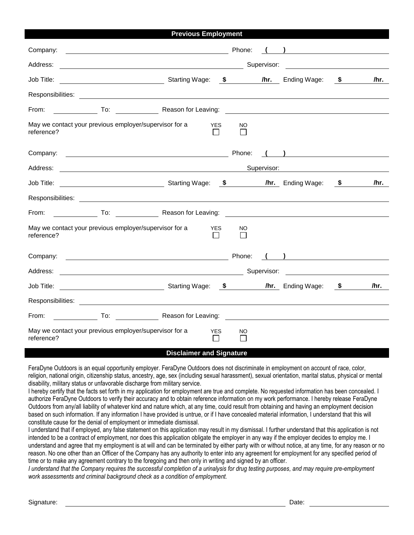| <b>Previous Employment</b>                                                                                                             |                            |        |             |                                                                            |      |
|----------------------------------------------------------------------------------------------------------------------------------------|----------------------------|--------|-------------|----------------------------------------------------------------------------|------|
| Company:<br><u> 1980 - Johann Barnett, fransk politik (d. 1980)</u>                                                                    |                            | Phone: |             | $\overline{a}$                                                             |      |
| Address:                                                                                                                               |                            |        | Supervisor: |                                                                            |      |
| <b>CONFERGATE:</b> Starting Wage: <b>\$</b> /hr. Ending Wage: \$<br>Job Title:                                                         |                            |        |             |                                                                            | /hr. |
|                                                                                                                                        |                            |        |             |                                                                            |      |
| From:<br>To: Contract Cheap Reason for Leaving: Contract Cheap Reason for Leaving: Contract Cheap Cheap Reason for Leaving:            |                            |        |             |                                                                            |      |
| May we contact your previous employer/supervisor for a<br>reference?                                                                   | <b>YES</b><br>$\mathsf{L}$ | NO     |             |                                                                            |      |
| Company:<br><u> 2000 - Jan Barnett, fransk politik (d. 1888)</u>                                                                       |                            | Phone: |             | $\left(\begin{array}{c} \begin{array}{c} \end{array}\\ \end{array}\right)$ |      |
| Address:                                                                                                                               |                            |        | Supervisor: |                                                                            |      |
| Job Title:<br><b>CONFERGATE:</b> Starting Wage: <b>\$</b> /hr. Ending Wage: <b>\$</b>                                                  |                            |        |             |                                                                            | /hr. |
|                                                                                                                                        |                            |        |             |                                                                            |      |
| From:<br>___ To: _________________ Reason for Leaving: __________________________________                                              |                            |        |             |                                                                            |      |
| May we contact your previous employer/supervisor for a<br>reference?                                                                   | <b>YES</b><br>$\mathsf{L}$ | NO     |             |                                                                            |      |
| Company:                                                                                                                               |                            | Phone: |             | ) and the state $\overline{\phantom{a}}$                                   |      |
| Address:<br><u> 2000 - Jan James James Barnett, amerikan personal (h. 1878).</u>                                                       |                            |        |             | Supervisor: Victor Andrew Management Communications                        |      |
| <b>Example 20 Starting Wage:</b> 5 Number 2016 19: 00 Number 2016 19: 00 Number 2016 19: 00 Number 2016 19: 00 Number 20<br>Job Title: |                            |        |             |                                                                            | /hr. |
|                                                                                                                                        |                            |        |             |                                                                            |      |
| From:<br>To: Reason for Leaving:                                                                                                       |                            |        |             |                                                                            |      |
| May we contact your previous employer/supervisor for a<br>reference?<br>$R = 1.1$                                                      | <b>YES</b><br>$\mathsf{L}$ | NO     |             |                                                                            |      |

#### **Disclaimer and Signature**

FeraDyne Outdoors is an equal opportunity employer. FeraDyne Outdoors does not discriminate in employment on account of race, color, religion, national origin, citizenship status, ancestry, age, sex (including sexual harassment), sexual orientation, marital status, physical or mental disability, military status or unfavorable discharge from military service.

I hereby certify that the facts set forth in my application for employment are true and complete. No requested information has been concealed. I authorize FeraDyne Outdoors to verify their accuracy and to obtain reference information on my work performance. I hereby release FeraDyne Outdoors from any/all liability of whatever kind and nature which, at any time, could result from obtaining and having an employment decision based on such information. If any information I have provided is untrue, or if I have concealed material information, I understand that this will constitute cause for the denial of employment or immediate dismissal.

I understand that if employed, any false statement on this application may result in my dismissal. I further understand that this application is not intended to be a contract of employment, nor does this application obligate the employer in any way if the employer decides to employ me. I understand and agree that my employment is at will and can be terminated by either party with or without notice, at any time, for any reason or no reason. No one other than an Officer of the Company has any authority to enter into any agreement for employment for any specified period of time or to make any agreement contrary to the foregoing and then only in writing and signed by an officer.

*I understand that the Company requires the successful completion of a urinalysis for drug testing purposes, and may require pre-employment work assessments and criminal background check as a condition of employment.*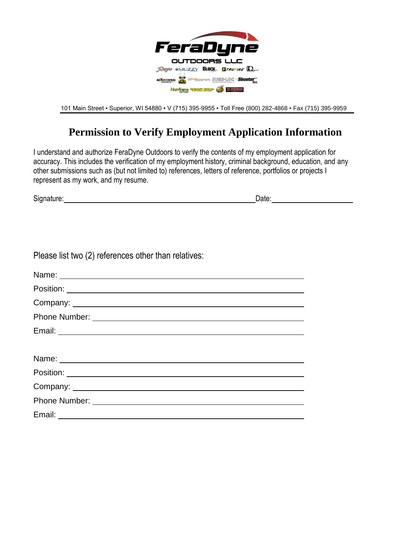

101 Main Street ▪ Superior, WI 54880 ▪ V (715) 395-9955 ▪ Toll Free (800) 282-4868 ▪ Fax (715) 395-9959

# **Permission to Verify Employment Application Information**

I understand and authorize FeraDyne Outdoors to verify the contents of my employment application for accuracy. This includes the verification of my employment history, criminal background, education, and any other submissions such as (but not limited to) references, letters of reference, portfolios or projects I represent as my work, and my resume.

Signature: Date: Date: Date: Date: Date: Date: Date: Date: Date: Date: Date: Date: Date: Date: Date: Date: Date: Date: Date: Date: Date: Date: Date: Date: Date: Date: Date: Date: Date: Date: Date: Date: Date: Date: Date: D

| Please list two (2) references other than relatives: |  |
|------------------------------------------------------|--|
|------------------------------------------------------|--|

| Name: Name: Name: Name: Name: Name: Name: Name: Name: Name: Name: Name: Name: Name: Name: Name: Name: Name: Name: Name: Name: Name: Name: Name: Name: Name: Name: Name: Name: Name: Name: Name: Name: Name: Name: Name: Name: |
|-------------------------------------------------------------------------------------------------------------------------------------------------------------------------------------------------------------------------------|
|                                                                                                                                                                                                                               |
|                                                                                                                                                                                                                               |
|                                                                                                                                                                                                                               |
|                                                                                                                                                                                                                               |
|                                                                                                                                                                                                                               |
| Name: 2008.000 Name: 2008.000 Name: 2008.000 Name: 2008.000 Name: 2008.000 Name: 2008.000 Name: 2008.000 Name:                                                                                                                |
|                                                                                                                                                                                                                               |
|                                                                                                                                                                                                                               |
|                                                                                                                                                                                                                               |
|                                                                                                                                                                                                                               |